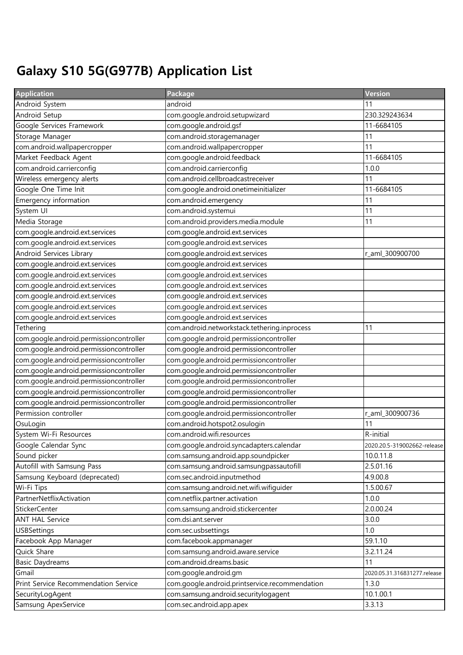## Galaxy S10 5G(G977B) Application List

| <b>Application</b>                      | Package                                        | Version                      |
|-----------------------------------------|------------------------------------------------|------------------------------|
| Android System                          | android                                        | 11                           |
| Android Setup                           | com.google.android.setupwizard                 | 230.329243634                |
| Google Services Framework               | com.google.android.gsf                         | 11-6684105                   |
| Storage Manager                         | com.android.storagemanager                     | 11                           |
| com.android.wallpapercropper            | com.android.wallpapercropper                   | 11                           |
| Market Feedback Agent                   | com.google.android.feedback                    | 11-6684105                   |
| com.android.carrierconfig               | com.android.carrierconfig                      | 1.0.0                        |
| Wireless emergency alerts               | com.android.cellbroadcastreceiver              | 11                           |
| Google One Time Init                    | com.google.android.onetimeinitializer          | 11-6684105                   |
| Emergency information                   | com.android.emergency                          | 11                           |
| System UI                               | com.android.systemui                           | 11                           |
| Media Storage                           | com.android.providers.media.module             | 11                           |
| com.google.android.ext.services         | com.google.android.ext.services                |                              |
| com.google.android.ext.services         | com.google.android.ext.services                |                              |
| Android Services Library                | com.google.android.ext.services                | r_aml_300900700              |
| com.google.android.ext.services         | com.google.android.ext.services                |                              |
| com.google.android.ext.services         | com.google.android.ext.services                |                              |
| com.google.android.ext.services         | com.google.android.ext.services                |                              |
| com.google.android.ext.services         | com.google.android.ext.services                |                              |
| com.google.android.ext.services         | com.google.android.ext.services                |                              |
| com.google.android.ext.services         | com.google.android.ext.services                |                              |
| Tethering                               | com.android.networkstack.tethering.inprocess   | 11                           |
| com.google.android.permissioncontroller | com.google.android.permissioncontroller        |                              |
| com.google.android.permissioncontroller | com.google.android.permissioncontroller        |                              |
| com.google.android.permissioncontroller | com.google.android.permissioncontroller        |                              |
| com.google.android.permissioncontroller | com.google.android.permissioncontroller        |                              |
| com.google.android.permissioncontroller | com.google.android.permissioncontroller        |                              |
| com.google.android.permissioncontroller | com.google.android.permissioncontroller        |                              |
| com.google.android.permissioncontroller | com.google.android.permissioncontroller        |                              |
| Permission controller                   | com.google.android.permissioncontroller        | r_aml_300900736              |
| OsuLogin                                | com.android.hotspot2.osulogin                  | 11                           |
| System Wi-Fi Resources                  | com.android.wifi.resources                     | R-initial                    |
| Google Calendar Sync                    | com.google.android.syncadapters.calendar       | 2020.20.5-319002662-release  |
| Sound picker                            | com.samsung.android.app.soundpicker            | 10.0.11.8                    |
| Autofill with Samsung Pass              | com.samsung.android.samsungpassautofill        | 2.5.01.16                    |
| Samsung Keyboard (deprecated)           | com.sec.android.inputmethod                    | 4.9.00.8                     |
| Wi-Fi Tips                              | com.samsung.android.net.wifi.wifiguider        | 1.5.00.67                    |
| PartnerNetflixActivation                | com.netflix.partner.activation                 | 1.0.0                        |
| <b>StickerCenter</b>                    | com.samsung.android.stickercenter              | 2.0.00.24                    |
| <b>ANT HAL Service</b>                  | com.dsi.ant.server                             | 3.0.0                        |
| <b>USBSettings</b>                      | com.sec.usbsettings                            | 1.0                          |
| Facebook App Manager                    | com.facebook.appmanager                        | 59.1.10                      |
| Quick Share                             | com.samsung.android.aware.service              | 3.2.11.24                    |
| <b>Basic Daydreams</b>                  | com.android.dreams.basic                       | 11                           |
| Gmail                                   | com.google.android.gm                          | 2020.05.31.316831277.release |
| Print Service Recommendation Service    | com.google.android.printservice.recommendation | 1.3.0                        |
| SecurityLogAgent                        | com.samsung.android.securitylogagent           | 10.1.00.1                    |
| Samsung ApexService                     | com.sec.android.app.apex                       | 3.3.13                       |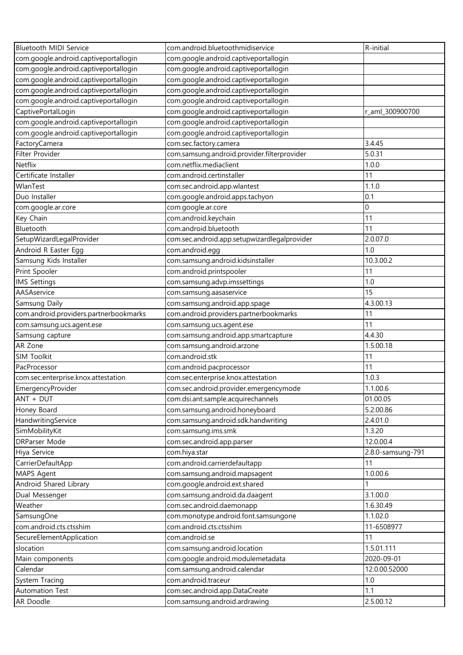| Bluetooth MIDI Service                 | com.android.bluetoothmidiservice             | R-initial         |
|----------------------------------------|----------------------------------------------|-------------------|
| com.google.android.captiveportallogin  | com.google.android.captiveportallogin        |                   |
| com.google.android.captiveportallogin  | com.google.android.captiveportallogin        |                   |
| com.google.android.captiveportallogin  | com.google.android.captiveportallogin        |                   |
| com.google.android.captiveportallogin  | com.google.android.captiveportallogin        |                   |
| com.google.android.captiveportallogin  | com.google.android.captiveportallogin        |                   |
| CaptivePortalLogin                     | com.google.android.captiveportallogin        | r_aml_300900700   |
| com.google.android.captiveportallogin  | com.google.android.captiveportallogin        |                   |
| com.google.android.captiveportallogin  | com.google.android.captiveportallogin        |                   |
| FactoryCamera                          | com.sec.factory.camera                       | 3.4.45            |
| Filter Provider                        | com.samsung.android.provider.filterprovider  | 5.0.31            |
| Netflix                                | com.netflix.mediaclient                      | 1.0.0             |
| Certificate Installer                  | com.android.certinstaller                    | 11                |
| WlanTest                               | com.sec.android.app.wlantest                 | 1.1.0             |
| Duo Installer                          | com.google.android.apps.tachyon              | 0.1               |
| com.google.ar.core                     | com.google.ar.core                           | $\mathbf 0$       |
| Key Chain                              | com.android.keychain                         | 11                |
| Bluetooth                              | com.android.bluetooth                        | 11                |
| SetupWizardLegalProvider               | com.sec.android.app.setupwizardlegalprovider | 2.0.07.0          |
| Android R Easter Egg                   | com.android.egg                              | 1.0               |
| Samsung Kids Installer                 | com.samsung.android.kidsinstaller            | 10.3.00.2         |
| Print Spooler                          | com.android.printspooler                     | 11                |
| <b>IMS Settings</b>                    | com.samsung.advp.imssettings                 | 1.0               |
| AASAservice                            | com.samsung.aasaservice                      | 15                |
| Samsung Daily                          | com.samsung.android.app.spage                | 4.3.00.13         |
| com.android.providers.partnerbookmarks | com.android.providers.partnerbookmarks       | 11                |
| com.samsung.ucs.agent.ese              | com.samsung.ucs.agent.ese                    | 11                |
| Samsung capture                        | com.samsung.android.app.smartcapture         | 4.4.30            |
| AR Zone                                | com.samsung.android.arzone                   | 1.5.00.18         |
| SIM Toolkit                            | com.android.stk                              | 11                |
| PacProcessor                           | com.android.pacprocessor                     | 11                |
| com.sec.enterprise.knox.attestation    | com.sec.enterprise.knox.attestation          | 1.0.3             |
| EmergencyProvider                      | com.sec.android.provider.emergencymode       | 1.1.00.6          |
| ANT + DUT                              | com.dsi.ant.sample.acquirechannels           | 01.00.05          |
| Honey Board                            | com.samsung.android.honeyboard               | 5.2.00.86         |
| HandwritingService                     | com.samsung.android.sdk.handwriting          | 2.4.01.0          |
| SimMobilityKit                         | com.samsung.ims.smk                          | 1.3.20            |
| <b>DRParser Mode</b>                   | com.sec.android.app.parser                   | 12.0.00.4         |
| Hiya Service                           | com.hiya.star                                | 2.8.0-samsung-791 |
| CarrierDefaultApp                      | com.android.carrierdefaultapp                | 11                |
| MAPS Agent                             | com.samsung.android.mapsagent                | 1.0.00.6          |
| Android Shared Library                 | com.google.android.ext.shared                |                   |
| Dual Messenger                         | com.samsung.android.da.daagent               | 3.1.00.0          |
| Weather                                | com.sec.android.daemonapp                    | 1.6.30.49         |
| SamsungOne                             | com.monotype.android.font.samsungone         | 1.1.02.0          |
| com.android.cts.ctsshim                | com.android.cts.ctsshim                      | 11-6508977        |
| SecureElementApplication               | com.android.se                               | 11                |
| slocation                              | com.samsung.android.location                 | 1.5.01.111        |
| Main components                        | com.google.android.modulemetadata            | 2020-09-01        |
| Calendar                               | com.samsung.android.calendar                 | 12.0.00.52000     |
| System Tracing                         | com.android.traceur                          | 1.0               |
| <b>Automation Test</b>                 | com.sec.android.app.DataCreate               | 1.1               |
| AR Doodle                              | com.samsung.android.ardrawing                | 2.5.00.12         |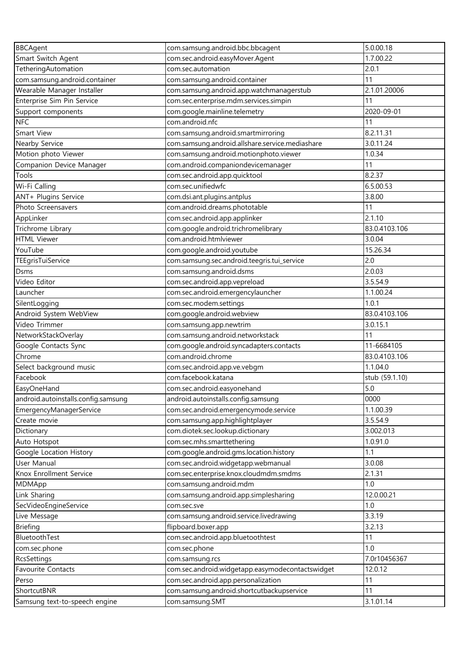| <b>BBCAgent</b>                     | com.samsung.android.bbc.bbcagent                 | 5.0.00.18      |
|-------------------------------------|--------------------------------------------------|----------------|
| Smart Switch Agent                  | com.sec.android.easyMover.Agent                  | 1.7.00.22      |
| TetheringAutomation                 | com.sec.automation                               | 2.0.1          |
| com.samsung.android.container       | com.samsung.android.container                    | 11             |
| Wearable Manager Installer          | com.samsung.android.app.watchmanagerstub         | 2.1.01.20006   |
| Enterprise Sim Pin Service          | com.sec.enterprise.mdm.services.simpin           | 11             |
| Support components                  | com.google.mainline.telemetry                    | 2020-09-01     |
| <b>NFC</b>                          | com.android.nfc                                  | 11             |
| Smart View                          | com.samsung.android.smartmirroring               | 8.2.11.31      |
| Nearby Service                      | com.samsung.android.allshare.service.mediashare  | 3.0.11.24      |
| Motion photo Viewer                 | com.samsung.android.motionphoto.viewer           | 1.0.34         |
| Companion Device Manager            | com.android.companiondevicemanager               | 11             |
| Tools                               | com.sec.android.app.quicktool                    | 8.2.37         |
| Wi-Fi Calling                       | com.sec.unifiedwfc                               | 6.5.00.53      |
| ANT+ Plugins Service                | com.dsi.ant.plugins.antplus                      | 3.8.00         |
| Photo Screensavers                  | com.android.dreams.phototable                    | 11             |
| AppLinker                           | com.sec.android.app.applinker                    | 2.1.10         |
| Trichrome Library                   | com.google.android.trichromelibrary              | 83.0.4103.106  |
| <b>HTML Viewer</b>                  | com.android.htmlviewer                           | 3.0.04         |
| YouTube                             | com.google.android.youtube                       | 15.26.34       |
| TEEgrisTuiService                   | com.samsung.sec.android.teegris.tui_service      | 2.0            |
| Dsms                                | com.samsung.android.dsms                         | 2.0.03         |
| Video Editor                        | com.sec.android.app.vepreload                    | 3.5.54.9       |
| Launcher                            | com.sec.android.emergencylauncher                | 1.1.00.24      |
| SilentLogging                       | com.sec.modem.settings                           | 1.0.1          |
| Android System WebView              | com.google.android.webview                       | 83.0.4103.106  |
| Video Trimmer                       | com.samsung.app.newtrim                          | 3.0.15.1       |
| NetworkStackOverlay                 | com.samsung.android.networkstack                 | 11             |
| Google Contacts Sync                | com.google.android.syncadapters.contacts         | 11-6684105     |
| Chrome                              | com.android.chrome                               | 83.0.4103.106  |
| Select background music             | com.sec.android.app.ve.vebgm                     | 1.1.04.0       |
| Facebook                            | com.facebook.katana                              | stub (59.1.10) |
| EasyOneHand                         | com.sec.android.easyonehand                      | 5.0            |
| android.autoinstalls.config.samsung | android.autoinstalls.config.samsung              | 0000           |
| EmergencyManagerService             | com.sec.android.emergencymode.service            | 1.1.00.39      |
| Create movie                        | com.samsung.app.highlightplayer                  | 3.5.54.9       |
| Dictionary                          | com.diotek.sec.lookup.dictionary                 | 3.002.013      |
| Auto Hotspot                        | com.sec.mhs.smarttethering                       | 1.0.91.0       |
| Google Location History             | com.google.android.gms.location.history          | 1.1            |
| User Manual                         | com.sec.android.widgetapp.webmanual              | 3.0.08         |
| Knox Enrollment Service             | com.sec.enterprise.knox.cloudmdm.smdms           | 2.1.31         |
| MDMApp                              | com.samsung.android.mdm                          | 1.0            |
| Link Sharing                        | com.samsung.android.app.simplesharing            | 12.0.00.21     |
| SecVideoEngineService               | com.sec.sve                                      | 1.0            |
| Live Message                        | com.samsung.android.service.livedrawing          | 3.3.19         |
| <b>Briefing</b>                     | flipboard.boxer.app                              | 3.2.13         |
| BluetoothTest                       | com.sec.android.app.bluetoothtest                | 11             |
| com.sec.phone                       | com.sec.phone                                    | 1.0            |
| RcsSettings                         | com.samsung.rcs                                  | 7.0r10456367   |
| Favourite Contacts                  | com.sec.android.widgetapp.easymodecontactswidget | 12.0.12        |
| Perso                               | com.sec.android.app.personalization              | 11             |
| ShortcutBNR                         | com.samsung.android.shortcutbackupservice        | 11             |
| Samsung text-to-speech engine       | com.samsung.SMT                                  | 3.1.01.14      |
|                                     |                                                  |                |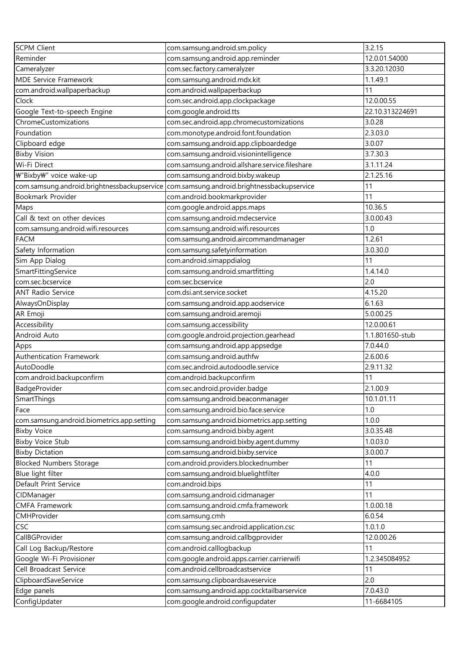| Reminder<br>com.samsung.android.app.reminder<br>12.0.01.54000<br>com.sec.factory.cameralyzer<br>3.3.20.12030<br>Cameralyzer<br><b>MDE Service Framework</b><br>com.samsung.android.mdx.kit<br>1.1.49.1<br>com.android.wallpaperbackup<br>11<br>com.android.wallpaperbackup<br>Clock<br>12.0.00.55<br>com.sec.android.app.clockpackage<br>Google Text-to-speech Engine<br>com.google.android.tts<br>22.10.313224691<br>ChromeCustomizations<br>com.sec.android.app.chromecustomizations<br>3.0.28<br>2.3.03.0<br>Foundation<br>com.monotype.android.font.foundation<br>com.samsung.android.app.clipboardedge<br>3.0.07<br>Clipboard edge<br><b>Bixby Vision</b><br>com.samsung.android.visionintelligence<br>3.7.30.3<br>com.samsung.android.allshare.service.fileshare<br>Wi-Fi Direct<br>3.1.11.24<br>₩"Bixby₩" voice wake-up<br>com.samsung.android.bixby.wakeup<br>2.1.25.16<br>com.samsung.android.brightnessbackupservice<br>com.samsung.android.brightnessbackupservice<br>11<br>Bookmark Provider<br>com.android.bookmarkprovider<br>11<br>10.36.5<br>Maps<br>com.google.android.apps.maps<br>Call & text on other devices<br>com.samsung.android.mdecservice<br>3.0.00.43<br>com.samsung.android.wifi.resources<br>1.0<br>com.samsung.android.wifi.resources<br><b>FACM</b><br>com.samsung.android.aircommandmanager<br>1.2.61<br>Safety Information<br>com.samsung.safetyinformation<br>3.0.30.0<br>com.android.simappdialog<br>11<br>Sim App Dialog<br>SmartFittingService<br>com.samsung.android.smartfitting<br>1.4.14.0<br>com.sec.bcservice<br>com.sec.bcservice<br>2.0<br><b>ANT Radio Service</b><br>com.dsi.ant.service.socket<br>4.15.20<br>6.1.63<br>AlwaysOnDisplay<br>com.samsung.android.app.aodservice<br>AR Emoji<br>com.samsung.android.aremoji<br>5.0.00.25<br>Accessibility<br>12.0.00.61<br>com.samsung.accessibility<br>Android Auto<br>com.google.android.projection.gearhead<br>1.1.801650-stub<br>com.samsung.android.app.appsedge<br>7.0.44.0<br>Apps<br>Authentication Framework<br>com.samsung.android.authfw<br>2.6.00.6<br>com.sec.android.autodoodle.service<br>2.9.11.32<br>AutoDoodle<br>com.android.backupconfirm<br>com.android.backupconfirm<br>11<br>2.1.00.9<br>BadgeProvider<br>com.sec.android.provider.badge<br>SmartThings<br>10.1.01.11<br>com.samsung.android.beaconmanager<br>1.0<br>com.samsung.android.bio.face.service<br>Face<br>com.samsung.android.biometrics.app.setting<br>1.0.0<br>com.samsung.android.biometrics.app.setting<br>com.samsung.android.bixby.agent<br>3.0.35.48<br><b>Bixby Voice</b><br><b>Bixby Voice Stub</b><br>com.samsung.android.bixby.agent.dummy<br>1.0.03.0<br>com.samsung.android.bixby.service<br>3.0.00.7<br><b>Bixby Dictation</b><br>com.android.providers.blockednumber<br><b>Blocked Numbers Storage</b><br>11<br>com.samsung.android.bluelightfilter<br>4.0.0<br>Blue light filter<br>Default Print Service<br>11<br>com.android.bips<br>11<br>CIDManager<br>com.samsung.android.cidmanager<br><b>CMFA Framework</b><br>com.samsung.android.cmfa.framework<br>1.0.00.18<br>CMHProvider<br>6.0.54<br>com.samsung.cmh<br>CSC<br>1.0.1.0<br>com.samsung.sec.android.application.csc<br>CallBGProvider<br>com.samsung.android.callbgprovider<br>12.0.00.26<br>Call Log Backup/Restore<br>com.android.calllogbackup<br>11<br>Google Wi-Fi Provisioner<br>com.google.android.apps.carrier.carrierwifi<br>1.2.345084952<br>com.android.cellbroadcastservice<br>Cell Broadcast Service<br>11<br>2.0<br>ClipboardSaveService<br>com.samsung.clipboardsaveservice<br>com.samsung.android.app.cocktailbarservice<br>Edge panels<br>7.0.43.0<br>ConfigUpdater<br>com.google.android.configupdater<br>11-6684105 | <b>SCPM Client</b> | com.samsung.android.sm.policy | 3.2.15 |
|--------------------------------------------------------------------------------------------------------------------------------------------------------------------------------------------------------------------------------------------------------------------------------------------------------------------------------------------------------------------------------------------------------------------------------------------------------------------------------------------------------------------------------------------------------------------------------------------------------------------------------------------------------------------------------------------------------------------------------------------------------------------------------------------------------------------------------------------------------------------------------------------------------------------------------------------------------------------------------------------------------------------------------------------------------------------------------------------------------------------------------------------------------------------------------------------------------------------------------------------------------------------------------------------------------------------------------------------------------------------------------------------------------------------------------------------------------------------------------------------------------------------------------------------------------------------------------------------------------------------------------------------------------------------------------------------------------------------------------------------------------------------------------------------------------------------------------------------------------------------------------------------------------------------------------------------------------------------------------------------------------------------------------------------------------------------------------------------------------------------------------------------------------------------------------------------------------------------------------------------------------------------------------------------------------------------------------------------------------------------------------------------------------------------------------------------------------------------------------------------------------------------------------------------------------------------------------------------------------------------------------------------------------------------------------------------------------------------------------------------------------------------------------------------------------------------------------------------------------------------------------------------------------------------------------------------------------------------------------------------------------------------------------------------------------------------------------------------------------------------------------------------------------------------------------------------------------------------------------------------------------------------------------------------------------------------------------------------------------------------------------------------------------------------------------------------------------------------------------------------------------------------------------------------------------------------------------------------------------------------------------------------------------------------------------------------------|--------------------|-------------------------------|--------|
|                                                                                                                                                                                                                                                                                                                                                                                                                                                                                                                                                                                                                                                                                                                                                                                                                                                                                                                                                                                                                                                                                                                                                                                                                                                                                                                                                                                                                                                                                                                                                                                                                                                                                                                                                                                                                                                                                                                                                                                                                                                                                                                                                                                                                                                                                                                                                                                                                                                                                                                                                                                                                                                                                                                                                                                                                                                                                                                                                                                                                                                                                                                                                                                                                                                                                                                                                                                                                                                                                                                                                                                                                                                                                                  |                    |                               |        |
|                                                                                                                                                                                                                                                                                                                                                                                                                                                                                                                                                                                                                                                                                                                                                                                                                                                                                                                                                                                                                                                                                                                                                                                                                                                                                                                                                                                                                                                                                                                                                                                                                                                                                                                                                                                                                                                                                                                                                                                                                                                                                                                                                                                                                                                                                                                                                                                                                                                                                                                                                                                                                                                                                                                                                                                                                                                                                                                                                                                                                                                                                                                                                                                                                                                                                                                                                                                                                                                                                                                                                                                                                                                                                                  |                    |                               |        |
|                                                                                                                                                                                                                                                                                                                                                                                                                                                                                                                                                                                                                                                                                                                                                                                                                                                                                                                                                                                                                                                                                                                                                                                                                                                                                                                                                                                                                                                                                                                                                                                                                                                                                                                                                                                                                                                                                                                                                                                                                                                                                                                                                                                                                                                                                                                                                                                                                                                                                                                                                                                                                                                                                                                                                                                                                                                                                                                                                                                                                                                                                                                                                                                                                                                                                                                                                                                                                                                                                                                                                                                                                                                                                                  |                    |                               |        |
|                                                                                                                                                                                                                                                                                                                                                                                                                                                                                                                                                                                                                                                                                                                                                                                                                                                                                                                                                                                                                                                                                                                                                                                                                                                                                                                                                                                                                                                                                                                                                                                                                                                                                                                                                                                                                                                                                                                                                                                                                                                                                                                                                                                                                                                                                                                                                                                                                                                                                                                                                                                                                                                                                                                                                                                                                                                                                                                                                                                                                                                                                                                                                                                                                                                                                                                                                                                                                                                                                                                                                                                                                                                                                                  |                    |                               |        |
|                                                                                                                                                                                                                                                                                                                                                                                                                                                                                                                                                                                                                                                                                                                                                                                                                                                                                                                                                                                                                                                                                                                                                                                                                                                                                                                                                                                                                                                                                                                                                                                                                                                                                                                                                                                                                                                                                                                                                                                                                                                                                                                                                                                                                                                                                                                                                                                                                                                                                                                                                                                                                                                                                                                                                                                                                                                                                                                                                                                                                                                                                                                                                                                                                                                                                                                                                                                                                                                                                                                                                                                                                                                                                                  |                    |                               |        |
|                                                                                                                                                                                                                                                                                                                                                                                                                                                                                                                                                                                                                                                                                                                                                                                                                                                                                                                                                                                                                                                                                                                                                                                                                                                                                                                                                                                                                                                                                                                                                                                                                                                                                                                                                                                                                                                                                                                                                                                                                                                                                                                                                                                                                                                                                                                                                                                                                                                                                                                                                                                                                                                                                                                                                                                                                                                                                                                                                                                                                                                                                                                                                                                                                                                                                                                                                                                                                                                                                                                                                                                                                                                                                                  |                    |                               |        |
|                                                                                                                                                                                                                                                                                                                                                                                                                                                                                                                                                                                                                                                                                                                                                                                                                                                                                                                                                                                                                                                                                                                                                                                                                                                                                                                                                                                                                                                                                                                                                                                                                                                                                                                                                                                                                                                                                                                                                                                                                                                                                                                                                                                                                                                                                                                                                                                                                                                                                                                                                                                                                                                                                                                                                                                                                                                                                                                                                                                                                                                                                                                                                                                                                                                                                                                                                                                                                                                                                                                                                                                                                                                                                                  |                    |                               |        |
|                                                                                                                                                                                                                                                                                                                                                                                                                                                                                                                                                                                                                                                                                                                                                                                                                                                                                                                                                                                                                                                                                                                                                                                                                                                                                                                                                                                                                                                                                                                                                                                                                                                                                                                                                                                                                                                                                                                                                                                                                                                                                                                                                                                                                                                                                                                                                                                                                                                                                                                                                                                                                                                                                                                                                                                                                                                                                                                                                                                                                                                                                                                                                                                                                                                                                                                                                                                                                                                                                                                                                                                                                                                                                                  |                    |                               |        |
|                                                                                                                                                                                                                                                                                                                                                                                                                                                                                                                                                                                                                                                                                                                                                                                                                                                                                                                                                                                                                                                                                                                                                                                                                                                                                                                                                                                                                                                                                                                                                                                                                                                                                                                                                                                                                                                                                                                                                                                                                                                                                                                                                                                                                                                                                                                                                                                                                                                                                                                                                                                                                                                                                                                                                                                                                                                                                                                                                                                                                                                                                                                                                                                                                                                                                                                                                                                                                                                                                                                                                                                                                                                                                                  |                    |                               |        |
|                                                                                                                                                                                                                                                                                                                                                                                                                                                                                                                                                                                                                                                                                                                                                                                                                                                                                                                                                                                                                                                                                                                                                                                                                                                                                                                                                                                                                                                                                                                                                                                                                                                                                                                                                                                                                                                                                                                                                                                                                                                                                                                                                                                                                                                                                                                                                                                                                                                                                                                                                                                                                                                                                                                                                                                                                                                                                                                                                                                                                                                                                                                                                                                                                                                                                                                                                                                                                                                                                                                                                                                                                                                                                                  |                    |                               |        |
|                                                                                                                                                                                                                                                                                                                                                                                                                                                                                                                                                                                                                                                                                                                                                                                                                                                                                                                                                                                                                                                                                                                                                                                                                                                                                                                                                                                                                                                                                                                                                                                                                                                                                                                                                                                                                                                                                                                                                                                                                                                                                                                                                                                                                                                                                                                                                                                                                                                                                                                                                                                                                                                                                                                                                                                                                                                                                                                                                                                                                                                                                                                                                                                                                                                                                                                                                                                                                                                                                                                                                                                                                                                                                                  |                    |                               |        |
|                                                                                                                                                                                                                                                                                                                                                                                                                                                                                                                                                                                                                                                                                                                                                                                                                                                                                                                                                                                                                                                                                                                                                                                                                                                                                                                                                                                                                                                                                                                                                                                                                                                                                                                                                                                                                                                                                                                                                                                                                                                                                                                                                                                                                                                                                                                                                                                                                                                                                                                                                                                                                                                                                                                                                                                                                                                                                                                                                                                                                                                                                                                                                                                                                                                                                                                                                                                                                                                                                                                                                                                                                                                                                                  |                    |                               |        |
|                                                                                                                                                                                                                                                                                                                                                                                                                                                                                                                                                                                                                                                                                                                                                                                                                                                                                                                                                                                                                                                                                                                                                                                                                                                                                                                                                                                                                                                                                                                                                                                                                                                                                                                                                                                                                                                                                                                                                                                                                                                                                                                                                                                                                                                                                                                                                                                                                                                                                                                                                                                                                                                                                                                                                                                                                                                                                                                                                                                                                                                                                                                                                                                                                                                                                                                                                                                                                                                                                                                                                                                                                                                                                                  |                    |                               |        |
|                                                                                                                                                                                                                                                                                                                                                                                                                                                                                                                                                                                                                                                                                                                                                                                                                                                                                                                                                                                                                                                                                                                                                                                                                                                                                                                                                                                                                                                                                                                                                                                                                                                                                                                                                                                                                                                                                                                                                                                                                                                                                                                                                                                                                                                                                                                                                                                                                                                                                                                                                                                                                                                                                                                                                                                                                                                                                                                                                                                                                                                                                                                                                                                                                                                                                                                                                                                                                                                                                                                                                                                                                                                                                                  |                    |                               |        |
|                                                                                                                                                                                                                                                                                                                                                                                                                                                                                                                                                                                                                                                                                                                                                                                                                                                                                                                                                                                                                                                                                                                                                                                                                                                                                                                                                                                                                                                                                                                                                                                                                                                                                                                                                                                                                                                                                                                                                                                                                                                                                                                                                                                                                                                                                                                                                                                                                                                                                                                                                                                                                                                                                                                                                                                                                                                                                                                                                                                                                                                                                                                                                                                                                                                                                                                                                                                                                                                                                                                                                                                                                                                                                                  |                    |                               |        |
|                                                                                                                                                                                                                                                                                                                                                                                                                                                                                                                                                                                                                                                                                                                                                                                                                                                                                                                                                                                                                                                                                                                                                                                                                                                                                                                                                                                                                                                                                                                                                                                                                                                                                                                                                                                                                                                                                                                                                                                                                                                                                                                                                                                                                                                                                                                                                                                                                                                                                                                                                                                                                                                                                                                                                                                                                                                                                                                                                                                                                                                                                                                                                                                                                                                                                                                                                                                                                                                                                                                                                                                                                                                                                                  |                    |                               |        |
|                                                                                                                                                                                                                                                                                                                                                                                                                                                                                                                                                                                                                                                                                                                                                                                                                                                                                                                                                                                                                                                                                                                                                                                                                                                                                                                                                                                                                                                                                                                                                                                                                                                                                                                                                                                                                                                                                                                                                                                                                                                                                                                                                                                                                                                                                                                                                                                                                                                                                                                                                                                                                                                                                                                                                                                                                                                                                                                                                                                                                                                                                                                                                                                                                                                                                                                                                                                                                                                                                                                                                                                                                                                                                                  |                    |                               |        |
|                                                                                                                                                                                                                                                                                                                                                                                                                                                                                                                                                                                                                                                                                                                                                                                                                                                                                                                                                                                                                                                                                                                                                                                                                                                                                                                                                                                                                                                                                                                                                                                                                                                                                                                                                                                                                                                                                                                                                                                                                                                                                                                                                                                                                                                                                                                                                                                                                                                                                                                                                                                                                                                                                                                                                                                                                                                                                                                                                                                                                                                                                                                                                                                                                                                                                                                                                                                                                                                                                                                                                                                                                                                                                                  |                    |                               |        |
|                                                                                                                                                                                                                                                                                                                                                                                                                                                                                                                                                                                                                                                                                                                                                                                                                                                                                                                                                                                                                                                                                                                                                                                                                                                                                                                                                                                                                                                                                                                                                                                                                                                                                                                                                                                                                                                                                                                                                                                                                                                                                                                                                                                                                                                                                                                                                                                                                                                                                                                                                                                                                                                                                                                                                                                                                                                                                                                                                                                                                                                                                                                                                                                                                                                                                                                                                                                                                                                                                                                                                                                                                                                                                                  |                    |                               |        |
|                                                                                                                                                                                                                                                                                                                                                                                                                                                                                                                                                                                                                                                                                                                                                                                                                                                                                                                                                                                                                                                                                                                                                                                                                                                                                                                                                                                                                                                                                                                                                                                                                                                                                                                                                                                                                                                                                                                                                                                                                                                                                                                                                                                                                                                                                                                                                                                                                                                                                                                                                                                                                                                                                                                                                                                                                                                                                                                                                                                                                                                                                                                                                                                                                                                                                                                                                                                                                                                                                                                                                                                                                                                                                                  |                    |                               |        |
|                                                                                                                                                                                                                                                                                                                                                                                                                                                                                                                                                                                                                                                                                                                                                                                                                                                                                                                                                                                                                                                                                                                                                                                                                                                                                                                                                                                                                                                                                                                                                                                                                                                                                                                                                                                                                                                                                                                                                                                                                                                                                                                                                                                                                                                                                                                                                                                                                                                                                                                                                                                                                                                                                                                                                                                                                                                                                                                                                                                                                                                                                                                                                                                                                                                                                                                                                                                                                                                                                                                                                                                                                                                                                                  |                    |                               |        |
|                                                                                                                                                                                                                                                                                                                                                                                                                                                                                                                                                                                                                                                                                                                                                                                                                                                                                                                                                                                                                                                                                                                                                                                                                                                                                                                                                                                                                                                                                                                                                                                                                                                                                                                                                                                                                                                                                                                                                                                                                                                                                                                                                                                                                                                                                                                                                                                                                                                                                                                                                                                                                                                                                                                                                                                                                                                                                                                                                                                                                                                                                                                                                                                                                                                                                                                                                                                                                                                                                                                                                                                                                                                                                                  |                    |                               |        |
|                                                                                                                                                                                                                                                                                                                                                                                                                                                                                                                                                                                                                                                                                                                                                                                                                                                                                                                                                                                                                                                                                                                                                                                                                                                                                                                                                                                                                                                                                                                                                                                                                                                                                                                                                                                                                                                                                                                                                                                                                                                                                                                                                                                                                                                                                                                                                                                                                                                                                                                                                                                                                                                                                                                                                                                                                                                                                                                                                                                                                                                                                                                                                                                                                                                                                                                                                                                                                                                                                                                                                                                                                                                                                                  |                    |                               |        |
|                                                                                                                                                                                                                                                                                                                                                                                                                                                                                                                                                                                                                                                                                                                                                                                                                                                                                                                                                                                                                                                                                                                                                                                                                                                                                                                                                                                                                                                                                                                                                                                                                                                                                                                                                                                                                                                                                                                                                                                                                                                                                                                                                                                                                                                                                                                                                                                                                                                                                                                                                                                                                                                                                                                                                                                                                                                                                                                                                                                                                                                                                                                                                                                                                                                                                                                                                                                                                                                                                                                                                                                                                                                                                                  |                    |                               |        |
|                                                                                                                                                                                                                                                                                                                                                                                                                                                                                                                                                                                                                                                                                                                                                                                                                                                                                                                                                                                                                                                                                                                                                                                                                                                                                                                                                                                                                                                                                                                                                                                                                                                                                                                                                                                                                                                                                                                                                                                                                                                                                                                                                                                                                                                                                                                                                                                                                                                                                                                                                                                                                                                                                                                                                                                                                                                                                                                                                                                                                                                                                                                                                                                                                                                                                                                                                                                                                                                                                                                                                                                                                                                                                                  |                    |                               |        |
|                                                                                                                                                                                                                                                                                                                                                                                                                                                                                                                                                                                                                                                                                                                                                                                                                                                                                                                                                                                                                                                                                                                                                                                                                                                                                                                                                                                                                                                                                                                                                                                                                                                                                                                                                                                                                                                                                                                                                                                                                                                                                                                                                                                                                                                                                                                                                                                                                                                                                                                                                                                                                                                                                                                                                                                                                                                                                                                                                                                                                                                                                                                                                                                                                                                                                                                                                                                                                                                                                                                                                                                                                                                                                                  |                    |                               |        |
|                                                                                                                                                                                                                                                                                                                                                                                                                                                                                                                                                                                                                                                                                                                                                                                                                                                                                                                                                                                                                                                                                                                                                                                                                                                                                                                                                                                                                                                                                                                                                                                                                                                                                                                                                                                                                                                                                                                                                                                                                                                                                                                                                                                                                                                                                                                                                                                                                                                                                                                                                                                                                                                                                                                                                                                                                                                                                                                                                                                                                                                                                                                                                                                                                                                                                                                                                                                                                                                                                                                                                                                                                                                                                                  |                    |                               |        |
|                                                                                                                                                                                                                                                                                                                                                                                                                                                                                                                                                                                                                                                                                                                                                                                                                                                                                                                                                                                                                                                                                                                                                                                                                                                                                                                                                                                                                                                                                                                                                                                                                                                                                                                                                                                                                                                                                                                                                                                                                                                                                                                                                                                                                                                                                                                                                                                                                                                                                                                                                                                                                                                                                                                                                                                                                                                                                                                                                                                                                                                                                                                                                                                                                                                                                                                                                                                                                                                                                                                                                                                                                                                                                                  |                    |                               |        |
|                                                                                                                                                                                                                                                                                                                                                                                                                                                                                                                                                                                                                                                                                                                                                                                                                                                                                                                                                                                                                                                                                                                                                                                                                                                                                                                                                                                                                                                                                                                                                                                                                                                                                                                                                                                                                                                                                                                                                                                                                                                                                                                                                                                                                                                                                                                                                                                                                                                                                                                                                                                                                                                                                                                                                                                                                                                                                                                                                                                                                                                                                                                                                                                                                                                                                                                                                                                                                                                                                                                                                                                                                                                                                                  |                    |                               |        |
|                                                                                                                                                                                                                                                                                                                                                                                                                                                                                                                                                                                                                                                                                                                                                                                                                                                                                                                                                                                                                                                                                                                                                                                                                                                                                                                                                                                                                                                                                                                                                                                                                                                                                                                                                                                                                                                                                                                                                                                                                                                                                                                                                                                                                                                                                                                                                                                                                                                                                                                                                                                                                                                                                                                                                                                                                                                                                                                                                                                                                                                                                                                                                                                                                                                                                                                                                                                                                                                                                                                                                                                                                                                                                                  |                    |                               |        |
|                                                                                                                                                                                                                                                                                                                                                                                                                                                                                                                                                                                                                                                                                                                                                                                                                                                                                                                                                                                                                                                                                                                                                                                                                                                                                                                                                                                                                                                                                                                                                                                                                                                                                                                                                                                                                                                                                                                                                                                                                                                                                                                                                                                                                                                                                                                                                                                                                                                                                                                                                                                                                                                                                                                                                                                                                                                                                                                                                                                                                                                                                                                                                                                                                                                                                                                                                                                                                                                                                                                                                                                                                                                                                                  |                    |                               |        |
|                                                                                                                                                                                                                                                                                                                                                                                                                                                                                                                                                                                                                                                                                                                                                                                                                                                                                                                                                                                                                                                                                                                                                                                                                                                                                                                                                                                                                                                                                                                                                                                                                                                                                                                                                                                                                                                                                                                                                                                                                                                                                                                                                                                                                                                                                                                                                                                                                                                                                                                                                                                                                                                                                                                                                                                                                                                                                                                                                                                                                                                                                                                                                                                                                                                                                                                                                                                                                                                                                                                                                                                                                                                                                                  |                    |                               |        |
|                                                                                                                                                                                                                                                                                                                                                                                                                                                                                                                                                                                                                                                                                                                                                                                                                                                                                                                                                                                                                                                                                                                                                                                                                                                                                                                                                                                                                                                                                                                                                                                                                                                                                                                                                                                                                                                                                                                                                                                                                                                                                                                                                                                                                                                                                                                                                                                                                                                                                                                                                                                                                                                                                                                                                                                                                                                                                                                                                                                                                                                                                                                                                                                                                                                                                                                                                                                                                                                                                                                                                                                                                                                                                                  |                    |                               |        |
|                                                                                                                                                                                                                                                                                                                                                                                                                                                                                                                                                                                                                                                                                                                                                                                                                                                                                                                                                                                                                                                                                                                                                                                                                                                                                                                                                                                                                                                                                                                                                                                                                                                                                                                                                                                                                                                                                                                                                                                                                                                                                                                                                                                                                                                                                                                                                                                                                                                                                                                                                                                                                                                                                                                                                                                                                                                                                                                                                                                                                                                                                                                                                                                                                                                                                                                                                                                                                                                                                                                                                                                                                                                                                                  |                    |                               |        |
|                                                                                                                                                                                                                                                                                                                                                                                                                                                                                                                                                                                                                                                                                                                                                                                                                                                                                                                                                                                                                                                                                                                                                                                                                                                                                                                                                                                                                                                                                                                                                                                                                                                                                                                                                                                                                                                                                                                                                                                                                                                                                                                                                                                                                                                                                                                                                                                                                                                                                                                                                                                                                                                                                                                                                                                                                                                                                                                                                                                                                                                                                                                                                                                                                                                                                                                                                                                                                                                                                                                                                                                                                                                                                                  |                    |                               |        |
|                                                                                                                                                                                                                                                                                                                                                                                                                                                                                                                                                                                                                                                                                                                                                                                                                                                                                                                                                                                                                                                                                                                                                                                                                                                                                                                                                                                                                                                                                                                                                                                                                                                                                                                                                                                                                                                                                                                                                                                                                                                                                                                                                                                                                                                                                                                                                                                                                                                                                                                                                                                                                                                                                                                                                                                                                                                                                                                                                                                                                                                                                                                                                                                                                                                                                                                                                                                                                                                                                                                                                                                                                                                                                                  |                    |                               |        |
|                                                                                                                                                                                                                                                                                                                                                                                                                                                                                                                                                                                                                                                                                                                                                                                                                                                                                                                                                                                                                                                                                                                                                                                                                                                                                                                                                                                                                                                                                                                                                                                                                                                                                                                                                                                                                                                                                                                                                                                                                                                                                                                                                                                                                                                                                                                                                                                                                                                                                                                                                                                                                                                                                                                                                                                                                                                                                                                                                                                                                                                                                                                                                                                                                                                                                                                                                                                                                                                                                                                                                                                                                                                                                                  |                    |                               |        |
|                                                                                                                                                                                                                                                                                                                                                                                                                                                                                                                                                                                                                                                                                                                                                                                                                                                                                                                                                                                                                                                                                                                                                                                                                                                                                                                                                                                                                                                                                                                                                                                                                                                                                                                                                                                                                                                                                                                                                                                                                                                                                                                                                                                                                                                                                                                                                                                                                                                                                                                                                                                                                                                                                                                                                                                                                                                                                                                                                                                                                                                                                                                                                                                                                                                                                                                                                                                                                                                                                                                                                                                                                                                                                                  |                    |                               |        |
|                                                                                                                                                                                                                                                                                                                                                                                                                                                                                                                                                                                                                                                                                                                                                                                                                                                                                                                                                                                                                                                                                                                                                                                                                                                                                                                                                                                                                                                                                                                                                                                                                                                                                                                                                                                                                                                                                                                                                                                                                                                                                                                                                                                                                                                                                                                                                                                                                                                                                                                                                                                                                                                                                                                                                                                                                                                                                                                                                                                                                                                                                                                                                                                                                                                                                                                                                                                                                                                                                                                                                                                                                                                                                                  |                    |                               |        |
|                                                                                                                                                                                                                                                                                                                                                                                                                                                                                                                                                                                                                                                                                                                                                                                                                                                                                                                                                                                                                                                                                                                                                                                                                                                                                                                                                                                                                                                                                                                                                                                                                                                                                                                                                                                                                                                                                                                                                                                                                                                                                                                                                                                                                                                                                                                                                                                                                                                                                                                                                                                                                                                                                                                                                                                                                                                                                                                                                                                                                                                                                                                                                                                                                                                                                                                                                                                                                                                                                                                                                                                                                                                                                                  |                    |                               |        |
|                                                                                                                                                                                                                                                                                                                                                                                                                                                                                                                                                                                                                                                                                                                                                                                                                                                                                                                                                                                                                                                                                                                                                                                                                                                                                                                                                                                                                                                                                                                                                                                                                                                                                                                                                                                                                                                                                                                                                                                                                                                                                                                                                                                                                                                                                                                                                                                                                                                                                                                                                                                                                                                                                                                                                                                                                                                                                                                                                                                                                                                                                                                                                                                                                                                                                                                                                                                                                                                                                                                                                                                                                                                                                                  |                    |                               |        |
|                                                                                                                                                                                                                                                                                                                                                                                                                                                                                                                                                                                                                                                                                                                                                                                                                                                                                                                                                                                                                                                                                                                                                                                                                                                                                                                                                                                                                                                                                                                                                                                                                                                                                                                                                                                                                                                                                                                                                                                                                                                                                                                                                                                                                                                                                                                                                                                                                                                                                                                                                                                                                                                                                                                                                                                                                                                                                                                                                                                                                                                                                                                                                                                                                                                                                                                                                                                                                                                                                                                                                                                                                                                                                                  |                    |                               |        |
|                                                                                                                                                                                                                                                                                                                                                                                                                                                                                                                                                                                                                                                                                                                                                                                                                                                                                                                                                                                                                                                                                                                                                                                                                                                                                                                                                                                                                                                                                                                                                                                                                                                                                                                                                                                                                                                                                                                                                                                                                                                                                                                                                                                                                                                                                                                                                                                                                                                                                                                                                                                                                                                                                                                                                                                                                                                                                                                                                                                                                                                                                                                                                                                                                                                                                                                                                                                                                                                                                                                                                                                                                                                                                                  |                    |                               |        |
|                                                                                                                                                                                                                                                                                                                                                                                                                                                                                                                                                                                                                                                                                                                                                                                                                                                                                                                                                                                                                                                                                                                                                                                                                                                                                                                                                                                                                                                                                                                                                                                                                                                                                                                                                                                                                                                                                                                                                                                                                                                                                                                                                                                                                                                                                                                                                                                                                                                                                                                                                                                                                                                                                                                                                                                                                                                                                                                                                                                                                                                                                                                                                                                                                                                                                                                                                                                                                                                                                                                                                                                                                                                                                                  |                    |                               |        |
|                                                                                                                                                                                                                                                                                                                                                                                                                                                                                                                                                                                                                                                                                                                                                                                                                                                                                                                                                                                                                                                                                                                                                                                                                                                                                                                                                                                                                                                                                                                                                                                                                                                                                                                                                                                                                                                                                                                                                                                                                                                                                                                                                                                                                                                                                                                                                                                                                                                                                                                                                                                                                                                                                                                                                                                                                                                                                                                                                                                                                                                                                                                                                                                                                                                                                                                                                                                                                                                                                                                                                                                                                                                                                                  |                    |                               |        |
|                                                                                                                                                                                                                                                                                                                                                                                                                                                                                                                                                                                                                                                                                                                                                                                                                                                                                                                                                                                                                                                                                                                                                                                                                                                                                                                                                                                                                                                                                                                                                                                                                                                                                                                                                                                                                                                                                                                                                                                                                                                                                                                                                                                                                                                                                                                                                                                                                                                                                                                                                                                                                                                                                                                                                                                                                                                                                                                                                                                                                                                                                                                                                                                                                                                                                                                                                                                                                                                                                                                                                                                                                                                                                                  |                    |                               |        |
|                                                                                                                                                                                                                                                                                                                                                                                                                                                                                                                                                                                                                                                                                                                                                                                                                                                                                                                                                                                                                                                                                                                                                                                                                                                                                                                                                                                                                                                                                                                                                                                                                                                                                                                                                                                                                                                                                                                                                                                                                                                                                                                                                                                                                                                                                                                                                                                                                                                                                                                                                                                                                                                                                                                                                                                                                                                                                                                                                                                                                                                                                                                                                                                                                                                                                                                                                                                                                                                                                                                                                                                                                                                                                                  |                    |                               |        |
|                                                                                                                                                                                                                                                                                                                                                                                                                                                                                                                                                                                                                                                                                                                                                                                                                                                                                                                                                                                                                                                                                                                                                                                                                                                                                                                                                                                                                                                                                                                                                                                                                                                                                                                                                                                                                                                                                                                                                                                                                                                                                                                                                                                                                                                                                                                                                                                                                                                                                                                                                                                                                                                                                                                                                                                                                                                                                                                                                                                                                                                                                                                                                                                                                                                                                                                                                                                                                                                                                                                                                                                                                                                                                                  |                    |                               |        |
|                                                                                                                                                                                                                                                                                                                                                                                                                                                                                                                                                                                                                                                                                                                                                                                                                                                                                                                                                                                                                                                                                                                                                                                                                                                                                                                                                                                                                                                                                                                                                                                                                                                                                                                                                                                                                                                                                                                                                                                                                                                                                                                                                                                                                                                                                                                                                                                                                                                                                                                                                                                                                                                                                                                                                                                                                                                                                                                                                                                                                                                                                                                                                                                                                                                                                                                                                                                                                                                                                                                                                                                                                                                                                                  |                    |                               |        |
|                                                                                                                                                                                                                                                                                                                                                                                                                                                                                                                                                                                                                                                                                                                                                                                                                                                                                                                                                                                                                                                                                                                                                                                                                                                                                                                                                                                                                                                                                                                                                                                                                                                                                                                                                                                                                                                                                                                                                                                                                                                                                                                                                                                                                                                                                                                                                                                                                                                                                                                                                                                                                                                                                                                                                                                                                                                                                                                                                                                                                                                                                                                                                                                                                                                                                                                                                                                                                                                                                                                                                                                                                                                                                                  |                    |                               |        |
|                                                                                                                                                                                                                                                                                                                                                                                                                                                                                                                                                                                                                                                                                                                                                                                                                                                                                                                                                                                                                                                                                                                                                                                                                                                                                                                                                                                                                                                                                                                                                                                                                                                                                                                                                                                                                                                                                                                                                                                                                                                                                                                                                                                                                                                                                                                                                                                                                                                                                                                                                                                                                                                                                                                                                                                                                                                                                                                                                                                                                                                                                                                                                                                                                                                                                                                                                                                                                                                                                                                                                                                                                                                                                                  |                    |                               |        |
|                                                                                                                                                                                                                                                                                                                                                                                                                                                                                                                                                                                                                                                                                                                                                                                                                                                                                                                                                                                                                                                                                                                                                                                                                                                                                                                                                                                                                                                                                                                                                                                                                                                                                                                                                                                                                                                                                                                                                                                                                                                                                                                                                                                                                                                                                                                                                                                                                                                                                                                                                                                                                                                                                                                                                                                                                                                                                                                                                                                                                                                                                                                                                                                                                                                                                                                                                                                                                                                                                                                                                                                                                                                                                                  |                    |                               |        |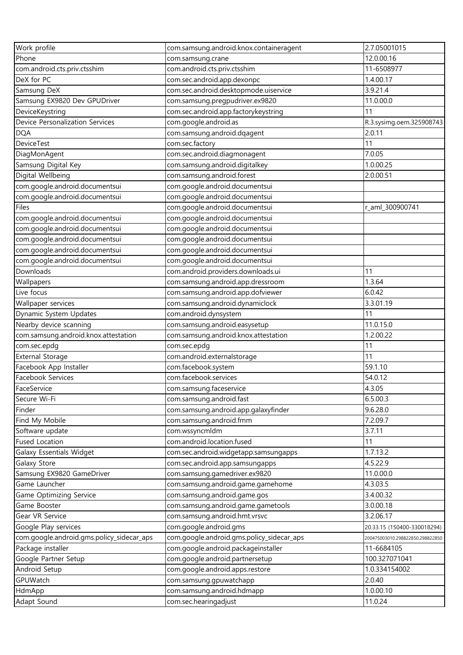| Work profile                              | com.samsung.android.knox.containeragent   | 2.7.05001015                     |
|-------------------------------------------|-------------------------------------------|----------------------------------|
| Phone                                     | com.samsung.crane                         | 12.0.00.16                       |
| com.android.cts.priv.ctsshim              | com.android.cts.priv.ctsshim              | 11-6508977                       |
| DeX for PC                                | com.sec.android.app.dexonpc               | 1.4.00.17                        |
| Samsung DeX                               | com.sec.android.desktopmode.uiservice     | 3.9.21.4                         |
| Samsung EX9820 Dev GPUDriver              | com.samsung.pregpudriver.ex9820           | 11.0.00.0                        |
| DeviceKeystring                           | com.sec.android.app.factorykeystring      | 11                               |
| Device Personalization Services           | com.google.android.as                     | R.3.sysimg.oem.325908743         |
| <b>DQA</b>                                | com.samsung.android.dqagent               | 2.0.11                           |
| <b>DeviceTest</b>                         | com.sec.factory                           | 11                               |
| DiagMonAgent                              | com.sec.android.diagmonagent              | 7.0.05                           |
| Samsung Digital Key                       | com.samsung.android.digitalkey            | 1.0.00.25                        |
| Digital Wellbeing                         | com.samsung.android.forest                | 2.0.00.51                        |
| com.google.android.documentsui            | com.google.android.documentsui            |                                  |
| com.google.android.documentsui            | com.google.android.documentsui            |                                  |
| Files                                     | com.google.android.documentsui            | r_aml_300900741                  |
| com.google.android.documentsui            | com.google.android.documentsui            |                                  |
| com.google.android.documentsui            | com.google.android.documentsui            |                                  |
| com.google.android.documentsui            | com.google.android.documentsui            |                                  |
| com.google.android.documentsui            | com.google.android.documentsui            |                                  |
| com.google.android.documentsui            | com.google.android.documentsui            |                                  |
| Downloads                                 | com.android.providers.downloads.ui        | 11                               |
| Wallpapers                                | com.samsung.android.app.dressroom         | 1.3.64                           |
| Live focus                                |                                           | 6.0.42                           |
|                                           | com.samsung.android.app.dofviewer         |                                  |
| Wallpaper services                        | com.samsung.android.dynamiclock           | 3.3.01.19                        |
| Dynamic System Updates                    | com.android.dynsystem                     | 11                               |
| Nearby device scanning                    | com.samsung.android.easysetup             | 11.0.15.0                        |
| com.samsung.android.knox.attestation      | com.samsung.android.knox.attestation      | 1.2.00.22                        |
| com.sec.epdg                              | com.sec.epdg                              | 11                               |
| <b>External Storage</b>                   | com.android.externalstorage               | 11                               |
| Facebook App Installer                    | com.facebook.system                       | 59.1.10                          |
| Facebook Services                         | com.facebook.services                     | 54.0.12                          |
| FaceService                               | com.samsung.faceservice                   | 4.3.05                           |
| Secure Wi-Fi                              | com.samsung.android.fast                  | 6.5.00.3                         |
| Finder                                    | com.samsung.android.app.galaxyfinder      | 9.6.28.0                         |
| Find My Mobile                            | com.samsung.android.fmm                   | 7.2.09.7                         |
| Software update                           | com.wssyncmldm                            | 3.7.11                           |
| <b>Fused Location</b>                     | com.android.location.fused                | 11                               |
| Galaxy Essentials Widget                  | com.sec.android.widgetapp.samsungapps     | 1.7.13.2                         |
| Galaxy Store                              | com.sec.android.app.samsungapps           | 4.5.22.9                         |
| Samsung EX9820 GameDriver                 | com.samsung.gamedriver.ex9820             | 11.0.00.0                        |
| Game Launcher                             | com.samsung.android.game.gamehome         | 4.3.03.5                         |
| Game Optimizing Service                   | com.samsung.android.game.gos              | 3.4.00.32                        |
| Game Booster                              | com.samsung.android.game.gametools        | 3.0.00.18                        |
| Gear VR Service                           | com.samsung.android.hmt.vrsvc             | 3.2.06.17                        |
| Google Play services                      | com.google.android.gms                    | 20.33.15 (150400-330018294)      |
| com.google.android.gms.policy_sidecar_aps | com.google.android.gms.policy_sidecar_aps | 200475003010.298822850.298822850 |
| Package installer                         | com.google.android.packageinstaller       | 11-6684105                       |
| Google Partner Setup                      | com.google.android.partnersetup           | 100.327071041                    |
| Android Setup                             | com.google.android.apps.restore           | 1.0.334154002                    |
| GPUWatch                                  | com.samsung.gpuwatchapp                   | 2.0.40                           |
| HdmApp                                    | com.samsung.android.hdmapp                | 1.0.00.10                        |
| Adapt Sound                               | com.sec.hearingadjust                     | 11.0.24                          |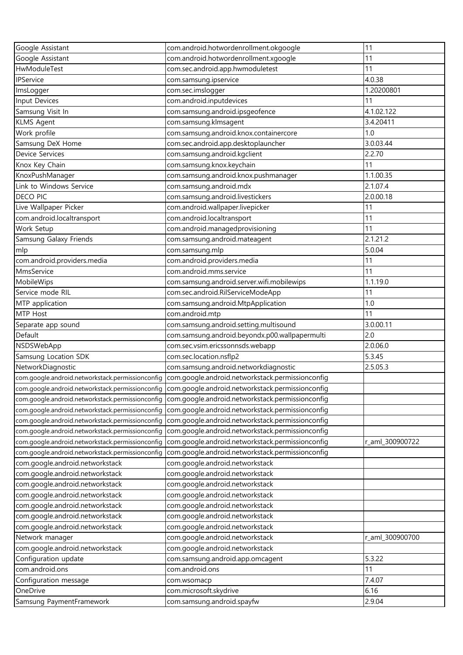| Google Assistant                                 | com.android.hotwordenrollment.okgoogle                                                            | 11              |
|--------------------------------------------------|---------------------------------------------------------------------------------------------------|-----------------|
| Google Assistant                                 | com.android.hotwordenrollment.xgoogle                                                             | 11              |
| HwModuleTest                                     | com.sec.android.app.hwmoduletest                                                                  | 11              |
| IPService                                        | com.samsung.ipservice                                                                             | 4.0.38          |
| ImsLogger                                        | com.sec.imslogger                                                                                 | 1.20200801      |
| Input Devices                                    | com.android.inputdevices                                                                          | 11              |
| Samsung Visit In                                 | com.samsung.android.ipsgeofence                                                                   | 4.1.02.122      |
| <b>KLMS Agent</b>                                | com.samsung.klmsagent                                                                             | 3.4.20411       |
| Work profile                                     | com.samsung.android.knox.containercore                                                            | 1.0             |
| Samsung DeX Home                                 | com.sec.android.app.desktoplauncher                                                               | 3.0.03.44       |
| <b>Device Services</b>                           | com.samsung.android.kgclient                                                                      | 2.2.70          |
| Knox Key Chain                                   | com.samsung.knox.keychain                                                                         | 11              |
| KnoxPushManager                                  | com.samsung.android.knox.pushmanager                                                              | 1.1.00.35       |
| Link to Windows Service                          | com.samsung.android.mdx                                                                           | 2.1.07.4        |
| <b>DECO PIC</b>                                  | com.samsung.android.livestickers                                                                  | 2.0.00.18       |
| Live Wallpaper Picker                            | com.android.wallpaper.livepicker                                                                  | 11              |
| com.android.localtransport                       | com.android.localtransport                                                                        | 11              |
| Work Setup                                       | com.android.managedprovisioning                                                                   | 11              |
| Samsung Galaxy Friends                           | com.samsung.android.mateagent                                                                     | 2.1.21.2        |
| mlp                                              | com.samsung.mlp                                                                                   | 5.0.04          |
| com.android.providers.media                      | com.android.providers.media                                                                       | 11              |
| MmsService                                       | com.android.mms.service                                                                           | 11              |
| MobileWips                                       | com.samsung.android.server.wifi.mobilewips                                                        | 1.1.19.0        |
| Service mode RIL                                 | com.sec.android.RilServiceModeApp                                                                 | 11              |
| MTP application                                  | com.samsung.android.MtpApplication                                                                | 1.0             |
| MTP Host                                         | com.android.mtp                                                                                   | 11              |
| Separate app sound                               | com.samsung.android.setting.multisound                                                            | 3.0.00.11       |
| Default                                          | com.samsung.android.beyondx.p00.wallpapermulti                                                    | 2.0             |
| NSDSWebApp                                       | com.sec.vsim.ericssonnsds.webapp                                                                  | 2.0.06.0        |
| Samsung Location SDK                             | com.sec.location.nsflp2                                                                           | 5.3.45          |
| NetworkDiagnostic                                | com.samsung.android.networkdiagnostic                                                             | 2.5.05.3        |
|                                                  | com.google.android.networkstack.permissionconfig com.google.android.networkstack.permissionconfig |                 |
|                                                  | com.google.android.networkstack.permissionconfig com.google.android.networkstack.permissionconfig |                 |
|                                                  | com.google.android.networkstack.permissionconfig com.google.android.networkstack.permissionconfig |                 |
| com.google.android.networkstack.permissionconfig | com.google.android.networkstack.permissionconfig                                                  |                 |
| com.google.android.networkstack.permissionconfig | com.google.android.networkstack.permissionconfig                                                  |                 |
| com.google.android.networkstack.permissionconfig | com.google.android.networkstack.permissionconfig                                                  |                 |
| com.google.android.networkstack.permissionconfig | com.google.android.networkstack.permissionconfig                                                  | r_aml_300900722 |
| com.google.android.networkstack.permissionconfig | com.google.android.networkstack.permissionconfig                                                  |                 |
| com.google.android.networkstack                  | com.google.android.networkstack                                                                   |                 |
| com.google.android.networkstack                  | com.google.android.networkstack                                                                   |                 |
| com.google.android.networkstack                  | com.google.android.networkstack                                                                   |                 |
| com.google.android.networkstack                  | com.google.android.networkstack                                                                   |                 |
| com.google.android.networkstack                  | com.google.android.networkstack                                                                   |                 |
| com.google.android.networkstack                  | com.google.android.networkstack                                                                   |                 |
| com.google.android.networkstack                  | com.google.android.networkstack                                                                   |                 |
| Network manager                                  | com.google.android.networkstack                                                                   | r_aml_300900700 |
| com.google.android.networkstack                  | com.google.android.networkstack                                                                   |                 |
| Configuration update                             | com.samsung.android.app.omcagent                                                                  | 5.3.22          |
| com.android.ons                                  | com.android.ons                                                                                   | 11              |
| Configuration message                            | com.wsomacp                                                                                       | 7.4.07          |
| OneDrive                                         | com.microsoft.skydrive                                                                            | 6.16            |
| Samsung PaymentFramework                         | com.samsung.android.spayfw                                                                        | 2.9.04          |
|                                                  |                                                                                                   |                 |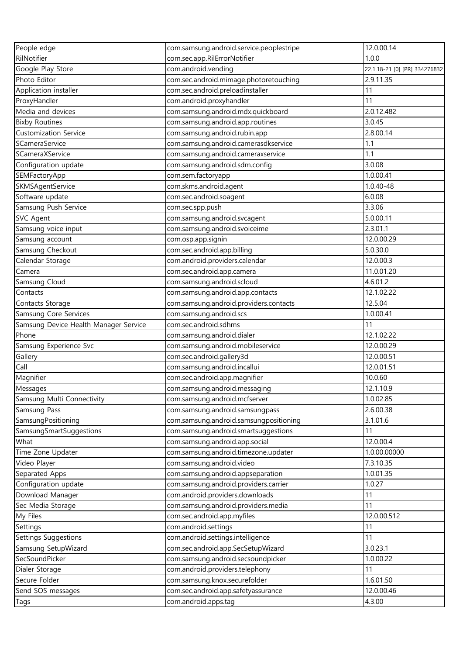| People edge                           | com.samsung.android.service.peoplestripe | 12.0.00.14                    |
|---------------------------------------|------------------------------------------|-------------------------------|
| RilNotifier                           | com.sec.app.RilErrorNotifier             | 1.0.0                         |
| Google Play Store                     | com.android.vending                      | 22.1.18-21 [0] [PR] 334276832 |
| Photo Editor                          | com.sec.android.mimage.photoretouching   | 2.9.11.35                     |
| Application installer                 | com.sec.android.preloadinstaller         | 11                            |
| ProxyHandler                          | com.android.proxyhandler                 | 11                            |
| Media and devices                     | com.samsung.android.mdx.quickboard       | 2.0.12.482                    |
| <b>Bixby Routines</b>                 | com.samsung.android.app.routines         | 3.0.45                        |
| <b>Customization Service</b>          | com.samsung.android.rubin.app            | 2.8.00.14                     |
| SCameraService                        | com.samsung.android.camerasdkservice     | 1.1                           |
| SCameraXService                       | com.samsung.android.cameraxservice       | 1.1                           |
| Configuration update                  | com.samsung.android.sdm.config           | 3.0.08                        |
| SEMFactoryApp                         | com.sem.factoryapp                       | 1.0.00.41                     |
| SKMSAgentService                      | com.skms.android.agent                   | 1.0.40-48                     |
| Software update                       | com.sec.android.soagent                  | 6.0.08                        |
| Samsung Push Service                  | com.sec.spp.push                         | 3.3.06                        |
| <b>SVC Agent</b>                      | com.samsung.android.svcagent             | 5.0.00.11                     |
| Samsung voice input                   | com.samsung.android.svoiceime            | 2.3.01.1                      |
| Samsung account                       | com.osp.app.signin                       | 12.0.00.29                    |
| Samsung Checkout                      | com.sec.android.app.billing              | 5.0.30.0                      |
| Calendar Storage                      | com.android.providers.calendar           | 12.0.00.3                     |
| Camera                                | com.sec.android.app.camera               | 11.0.01.20                    |
| Samsung Cloud                         | com.samsung.android.scloud               | 4.6.01.2                      |
|                                       |                                          |                               |
| Contacts                              | com.samsung.android.app.contacts         | 12.1.02.22                    |
| Contacts Storage                      | com.samsung.android.providers.contacts   | 12.5.04                       |
| Samsung Core Services                 | com.samsung.android.scs                  | 1.0.00.41                     |
| Samsung Device Health Manager Service | com.sec.android.sdhms                    | 11                            |
| Phone                                 | com.samsung.android.dialer               | 12.1.02.22                    |
| Samsung Experience Svc                | com.samsung.android.mobileservice        | 12.0.00.29                    |
| Gallery                               | com.sec.android.gallery3d                | 12.0.00.51                    |
| Call                                  | com.samsung.android.incallui             | 12.0.01.51                    |
| Magnifier                             | com.sec.android.app.magnifier            | 10.0.60                       |
| Messages                              | com.samsung.android.messaging            | 12.1.10.9                     |
| Samsung Multi Connectivity            | com.samsung.android.mcfserver            | 1.0.02.85                     |
| Samsung Pass                          | com.samsung.android.samsungpass          | 2.6.00.38                     |
| SamsungPositioning                    | com.samsung.android.samsungpositioning   | 3.1.01.6                      |
| SamsungSmartSuggestions               | com.samsung.android.smartsuggestions     | 11                            |
| What                                  | com.samsung.android.app.social           | 12.0.00.4                     |
| Time Zone Updater                     | com.samsung.android.timezone.updater     | 1.0.00.00000                  |
| Video Player                          | com.samsung.android.video                | 7.3.10.35                     |
| Separated Apps                        | com.samsung.android.appseparation        | 1.0.01.35                     |
| Configuration update                  | com.samsung.android.providers.carrier    | 1.0.27                        |
| Download Manager                      | com.android.providers.downloads          | 11                            |
| Sec Media Storage                     | com.samsung.android.providers.media      | 11                            |
| My Files                              | com.sec.android.app.myfiles              | 12.0.00.512                   |
| Settings                              | com.android.settings                     | 11                            |
| Settings Suggestions                  | com.android.settings.intelligence        | 11                            |
| Samsung SetupWizard                   | com.sec.android.app.SecSetupWizard       | 3.0.23.1                      |
| SecSoundPicker                        | com.samsung.android.secsoundpicker       | 1.0.00.22                     |
| Dialer Storage                        | com.android.providers.telephony          | 11                            |
| Secure Folder                         | com.samsung.knox.securefolder            | 1.6.01.50                     |
| Send SOS messages                     | com.sec.android.app.safetyassurance      | 12.0.00.46                    |
| Tags                                  | com.android.apps.tag                     | 4.3.00                        |
|                                       |                                          |                               |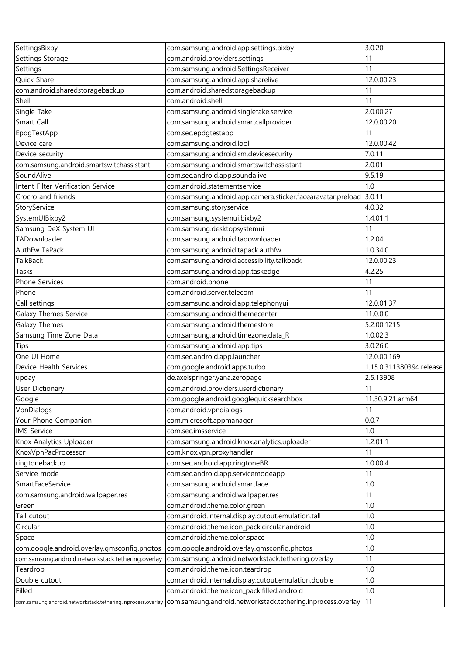| SettingsBixby                                                  | com.samsung.android.app.settings.bixby                                                            | 3.0.20                   |
|----------------------------------------------------------------|---------------------------------------------------------------------------------------------------|--------------------------|
| Settings Storage                                               | com.android.providers.settings                                                                    | 11                       |
| Settings                                                       | com.samsung.android.SettingsReceiver                                                              | 11                       |
| Quick Share                                                    | com.samsung.android.app.sharelive                                                                 | 12.0.00.23               |
| com.android.sharedstoragebackup                                | com.android.sharedstoragebackup                                                                   | 11                       |
| Shell                                                          | com.android.shell                                                                                 | 11                       |
| Single Take                                                    | com.samsung.android.singletake.service                                                            | 2.0.00.27                |
| Smart Call                                                     | com.samsung.android.smartcallprovider                                                             | 12.0.00.20               |
| EpdgTestApp                                                    | com.sec.epdgtestapp                                                                               | 11                       |
| Device care                                                    | com.samsung.android.lool                                                                          | 12.0.00.42               |
| Device security                                                | com.samsung.android.sm.devicesecurity                                                             | 7.0.11                   |
| com.samsung.android.smartswitchassistant                       | com.samsung.android.smartswitchassistant                                                          | 2.0.01                   |
| SoundAlive                                                     | com.sec.android.app.soundalive                                                                    | 9.5.19                   |
| Intent Filter Verification Service                             | com.android.statementservice                                                                      | 1.0                      |
| Crocro and friends                                             | com.samsung.android.app.camera.sticker.facearavatar.preload                                       | 3.0.11                   |
| StoryService                                                   | com.samsung.storyservice                                                                          | 4.0.32                   |
| SystemUIBixby2                                                 | com.samsung.systemui.bixby2                                                                       | 1.4.01.1                 |
| Samsung DeX System UI                                          | com.samsung.desktopsystemui                                                                       | 11                       |
| TADownloader                                                   | com.samsung.android.tadownloader                                                                  | 1.2.04                   |
| AuthFw TaPack                                                  | com.samsung.android.tapack.authfw                                                                 | 1.0.34.0                 |
| <b>TalkBack</b>                                                | com.samsung.android.accessibility.talkback                                                        | 12.0.00.23               |
| Tasks                                                          | com.samsung.android.app.taskedge                                                                  | 4.2.25                   |
| Phone Services                                                 | com.android.phone                                                                                 | 11                       |
| Phone                                                          | com.android.server.telecom                                                                        | 11                       |
| Call settings                                                  | com.samsung.android.app.telephonyui                                                               | 12.0.01.37               |
| Galaxy Themes Service                                          | com.samsung.android.themecenter                                                                   | 11.0.0.0                 |
| Galaxy Themes                                                  | com.samsung.android.themestore                                                                    | 5.2.00.1215              |
| Samsung Time Zone Data                                         | com.samsung.android.timezone.data_R                                                               | 1.0.02.3                 |
| Tips                                                           | com.samsung.android.app.tips                                                                      | 3.0.26.0                 |
| One UI Home                                                    | com.sec.android.app.launcher                                                                      | 12.0.00.169              |
| Device Health Services                                         | com.google.android.apps.turbo                                                                     | 1.15.0.311380394.release |
| upday                                                          | de.axelspringer.yana.zeropage                                                                     | 2.5.13908                |
| User Dictionary                                                | com.android.providers.userdictionary                                                              | 11                       |
| Google                                                         | com.google.android.googlequicksearchbox                                                           | 11.30.9.21.arm64         |
| VpnDialogs                                                     | com.android.vpndialogs                                                                            | 11                       |
| Your Phone Companion                                           | com.microsoft.appmanager                                                                          | 0.0.7                    |
| <b>IMS Service</b>                                             | com.sec.imsservice                                                                                | 1.0                      |
| Knox Analytics Uploader                                        | com.samsung.android.knox.analytics.uploader                                                       | 1.2.01.1                 |
| KnoxVpnPacProcessor                                            | com.knox.vpn.proxyhandler                                                                         | 11                       |
| ringtonebackup                                                 | com.sec.android.app.ringtoneBR                                                                    | 1.0.00.4                 |
| Service mode                                                   | com.sec.android.app.servicemodeapp                                                                | 11                       |
| SmartFaceService                                               | com.samsung.android.smartface                                                                     | 1.0                      |
|                                                                | com.samsung.android.wallpaper.res                                                                 | 11                       |
| com.samsung.android.wallpaper.res                              | com.android.theme.color.green                                                                     | 1.0                      |
| Green                                                          | com.android.internal.display.cutout.emulation.tall                                                | 1.0                      |
| Tall cutout                                                    |                                                                                                   | 1.0                      |
| Circular                                                       | com.android.theme.icon_pack.circular.android                                                      |                          |
| Space                                                          | com.android.theme.color.space                                                                     | 1.0<br>1.0               |
| com.google.android.overlay.gmsconfig.photos                    | com.google.android.overlay.gmsconfig.photos<br>com.samsung.android.networkstack.tethering.overlay | 11                       |
| com.samsung.android.networkstack.tethering.overlay<br>Teardrop | com.android.theme.icon.teardrop                                                                   | 1.0                      |
|                                                                |                                                                                                   |                          |
| Double cutout<br>Filled                                        | com.android.internal.display.cutout.emulation.double                                              | 1.0<br>1.0               |
|                                                                | com.android.theme.icon_pack.filled.android                                                        |                          |
| com.samsung.android.networkstack.tethering.inprocess.overlay   | com.samsung.android.networkstack.tethering.inprocess.overlay                                      | 11                       |